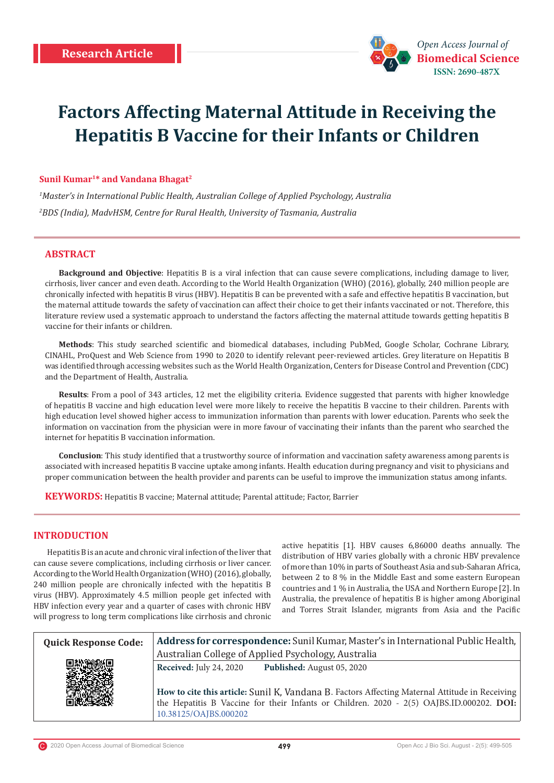

# **Factors Affecting Maternal Attitude in Receiving the Hepatitis B Vaccine for their Infants or Children**

# **Sunil Kumar1\* and Vandana Bhagat2**

*1 Master's in International Public Health, Australian College of Applied Psychology, Australia 2 BDS (India), MadvHSM, Centre for Rural Health, University of Tasmania, Australia*

# **ABSTRACT**

**Background and Objective**: Hepatitis B is a viral infection that can cause severe complications, including damage to liver, cirrhosis, liver cancer and even death. According to the World Health Organization (WHO) (2016), globally, 240 million people are chronically infected with hepatitis B virus (HBV). Hepatitis B can be prevented with a safe and effective hepatitis B vaccination, but the maternal attitude towards the safety of vaccination can affect their choice to get their infants vaccinated or not. Therefore, this literature review used a systematic approach to understand the factors affecting the maternal attitude towards getting hepatitis B vaccine for their infants or children.

**Methods**: This study searched scientific and biomedical databases, including PubMed, Google Scholar, Cochrane Library, CINAHL, ProQuest and Web Science from 1990 to 2020 to identify relevant peer-reviewed articles. Grey literature on Hepatitis B was identified through accessing websites such as the World Health Organization, Centers for Disease Control and Prevention (CDC) and the Department of Health, Australia.

**Results**: From a pool of 343 articles, 12 met the eligibility criteria. Evidence suggested that parents with higher knowledge of hepatitis B vaccine and high education level were more likely to receive the hepatitis B vaccine to their children. Parents with high education level showed higher access to immunization information than parents with lower education. Parents who seek the information on vaccination from the physician were in more favour of vaccinating their infants than the parent who searched the internet for hepatitis B vaccination information.

**Conclusion**: This study identified that a trustworthy source of information and vaccination safety awareness among parents is associated with increased hepatitis B vaccine uptake among infants. Health education during pregnancy and visit to physicians and proper communication between the health provider and parents can be useful to improve the immunization status among infants.

**KEYWORDS:** Hepatitis B vaccine; Maternal attitude; Parental attitude; Factor, Barrier

# **INTRODUCTION**

Hepatitis B is an acute and chronic viral infection of the liver that can cause severe complications, including cirrhosis or liver cancer. According to the World Health Organization (WHO) (2016), globally, 240 million people are chronically infected with the hepatitis B virus (HBV). Approximately 4.5 million people get infected with HBV infection every year and a quarter of cases with chronic HBV will progress to long term complications like cirrhosis and chronic active hepatitis [1]. HBV causes 6,86000 deaths annually. The distribution of HBV varies globally with a chronic HBV prevalence of more than 10% in parts of Southeast Asia and sub-Saharan Africa, between 2 to 8 % in the Middle East and some eastern European countries and 1 % in Australia, the USA and Northern Europe [2]. In Australia, the prevalence of hepatitis B is higher among Aboriginal and Torres Strait Islander, migrants from Asia and the Pacific

| <b>Quick Response Code:</b> | Address for correspondence: Sunil Kumar, Master's in International Public Health,                                                                                                          |  |  |  |  |  |  |
|-----------------------------|--------------------------------------------------------------------------------------------------------------------------------------------------------------------------------------------|--|--|--|--|--|--|
|                             | Australian College of Applied Psychology, Australia                                                                                                                                        |  |  |  |  |  |  |
|                             | Received: July 24, 2020<br>Published: August 05, 2020                                                                                                                                      |  |  |  |  |  |  |
|                             | How to cite this article: Sunil K, Vandana B. Factors Affecting Maternal Attitude in Receiving<br>the Hepatitis B Vaccine for their Infants or Children. 2020 - 2(5) OAJBS.ID.000202. DOI: |  |  |  |  |  |  |
|                             | 10.38125/OAJBS.000202                                                                                                                                                                      |  |  |  |  |  |  |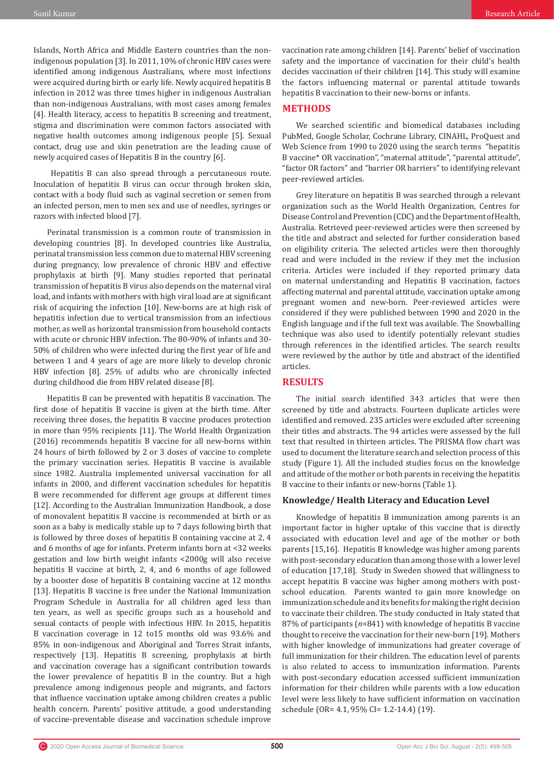Islands, North Africa and Middle Eastern countries than the nonindigenous population [3]. In 2011, 10% of chronic HBV cases were identified among indigenous Australians, where most infections were acquired during birth or early life. Newly acquired hepatitis B infection in 2012 was three times higher in indigenous Australian than non-indigenous Australians, with most cases among females [4]. Health literacy, access to hepatitis B screening and treatment, stigma and discrimination were common factors associated with negative health outcomes among indigenous people [5]. Sexual contact, drug use and skin penetration are the leading cause of newly acquired cases of Hepatitis B in the country [6].

 Hepatitis B can also spread through a percutaneous route. Inoculation of hepatitis B virus can occur through broken skin, contact with a body fluid such as vaginal secretion or semen from an infected person, men to men sex and use of needles, syringes or razors with infected blood [7].

Perinatal transmission is a common route of transmission in developing countries [8]. In developed countries like Australia, perinatal transmission less common due to maternal HBV screening during pregnancy, low prevalence of chronic HBV and effective prophylaxis at birth [9]. Many studies reported that perinatal transmission of hepatitis B virus also depends on the maternal viral load, and infants with mothers with high viral load are at significant risk of acquiring the infection [10]. New-borns are at high risk of hepatitis infection due to vertical transmission from an infectious mother, as well as horizontal transmission from household contacts with acute or chronic HBV infection. The 80-90% of infants and 30- 50% of children who were infected during the first year of life and between 1 and 4 years of age are more likely to develop chronic HBV infection [8]. 25% of adults who are chronically infected during childhood die from HBV related disease [8].

Hepatitis B can be prevented with hepatitis B vaccination. The first dose of hepatitis B vaccine is given at the birth time. After receiving three doses, the hepatitis B vaccine produces protection in more than 95% recipients [11]. The World Health Organization (2016) recommends hepatitis B vaccine for all new-borns within 24 hours of birth followed by 2 or 3 doses of vaccine to complete the primary vaccination series. Hepatitis B vaccine is available since 1982. Australia implemented universal vaccination for all infants in 2000, and different vaccination schedules for hepatitis B were recommended for different age groups at different times [12]. According to the Australian Immunization Handbook, a dose of monovalent hepatitis B vaccine is recommended at birth or as soon as a baby is medically stable up to 7 days following birth that is followed by three doses of hepatitis B containing vaccine at 2, 4 and 6 months of age for infants. Preterm infants born at <32 weeks gestation and low birth weight infants <2000g will also receive hepatitis B vaccine at birth, 2, 4, and 6 months of age followed by a booster dose of hepatitis B containing vaccine at 12 months [13]. Hepatitis B vaccine is free under the National Immunization Program Schedule in Australia for all children aged less than ten years, as well as specific groups such as a household and sexual contacts of people with infectious HBV. In 2015, hepatitis B vaccination coverage in 12 to15 months old was 93.6% and 85% in non-indigenous and Aboriginal and Torres Strait infants, respectively [13]. Hepatitis B screening, prophylaxis at birth and vaccination coverage has a significant contribution towards the lower prevalence of hepatitis B in the country. But a high prevalence among indigenous people and migrants, and factors that influence vaccination uptake among children creates a public health concern. Parents' positive attitude, a good understanding of vaccine-preventable disease and vaccination schedule improve

#### **METHODS**

We searched scientific and biomedical databases including PubMed, Google Scholar, Cochrane Library, CINAHL, ProQuest and Web Science from 1990 to 2020 using the search terms "hepatitis B vaccine\* OR vaccination", "maternal attitude", "parental attitude", "factor OR factors" and "barrier OR barriers" to identifying relevant peer-reviewed articles.

Grey literature on hepatitis B was searched through a relevant organization such as the World Health Organization, Centres for Disease Control and Prevention (CDC) and the Department of Health, Australia. Retrieved peer-reviewed articles were then screened by the title and abstract and selected for further consideration based on eligibility criteria. The selected articles were then thoroughly read and were included in the review if they met the inclusion criteria. Articles were included if they reported primary data on maternal understanding and Hepatitis B vaccination, factors affecting maternal and parental attitude, vaccination uptake among pregnant women and new-born. Peer-reviewed articles were considered if they were published between 1990 and 2020 in the English language and if the full text was available. The Snowballing technique was also used to identify potentially relevant studies through references in the identified articles. The search results were reviewed by the author by title and abstract of the identified articles.

## **RESULTS**

The initial search identified 343 articles that were then screened by title and abstracts. Fourteen duplicate articles were identified and removed. 235 articles were excluded after screening their titles and abstracts. The 94 articles were assessed by the full text that resulted in thirteen articles. The PRISMA flow chart was used to document the literature search and selection process of this study (Figure 1). All the included studies focus on the knowledge and attitude of the mother or both parents in receiving the hepatitis B vaccine to their infants or new-borns (Table 1).

#### **Knowledge/ Health Literacy and Education Level**

Knowledge of hepatitis B immunization among parents is an important factor in higher uptake of this vaccine that is directly associated with education level and age of the mother or both parents [15,16]. Hepatitis B knowledge was higher among parents with post-secondary education than among those with a lower level of education [17,18]. Study in Sweden showed that willingness to accept hepatitis B vaccine was higher among mothers with postschool education. Parents wanted to gain more knowledge on immunization schedule and its benefits for making the right decision to vaccinate their children. The study conducted in Italy stated that 87% of participants (*n*=841) with knowledge of hepatitis B vaccine thought to receive the vaccination for their new-born [19]. Mothers with higher knowledge of immunizations had greater coverage of full immunization for their children. The education level of parents is also related to access to immunization information. Parents with post-secondary education accessed sufficient immunization information for their children while parents with a low education level were less likely to have sufficient information on vaccination schedule (OR= 4.1, 95% CI= 1.2-14.4) (19).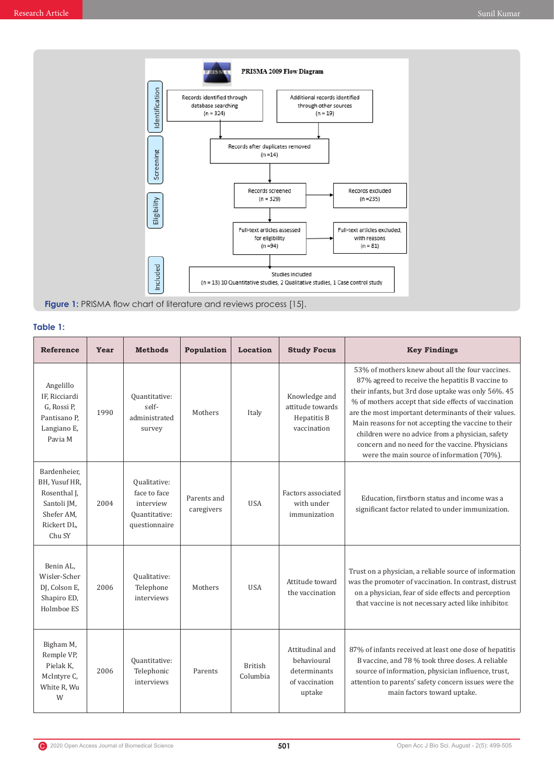

**Table 1:**

| <b>Reference</b>                                                                                    | Year | <b>Methods</b>                                                              | Population                | Location                   | <b>Study Focus</b>                                                         | <b>Key Findings</b>                                                                                                                                                                                                                                                                                                                                                                                                                                                                     |
|-----------------------------------------------------------------------------------------------------|------|-----------------------------------------------------------------------------|---------------------------|----------------------------|----------------------------------------------------------------------------|-----------------------------------------------------------------------------------------------------------------------------------------------------------------------------------------------------------------------------------------------------------------------------------------------------------------------------------------------------------------------------------------------------------------------------------------------------------------------------------------|
| Angelillo<br>IF. Ricciardi<br>G, Rossi P,<br>Pantisano P.<br>Langiano E,<br>Pavia M                 | 1990 | Quantitative:<br>self-<br>administrated<br>survey                           | Mothers                   | Italy                      | Knowledge and<br>attitude towards<br>Hepatitis B<br>vaccination            | 53% of mothers knew about all the four vaccines.<br>87% agreed to receive the hepatitis B vaccine to<br>their infants, but 3rd dose uptake was only 56%. 45<br>% of mothers accept that side effects of vaccination<br>are the most important determinants of their values.<br>Main reasons for not accepting the vaccine to their<br>children were no advice from a physician, safety<br>concern and no need for the vaccine. Physicians<br>were the main source of information (70%). |
| Bardenheier.<br>BH, Yusuf HR,<br>Rosenthal J.<br>Santoli JM,<br>Shefer AM,<br>Rickert DL,<br>Chu SY | 2004 | Qualitative:<br>face to face<br>interview<br>Quantitative:<br>questionnaire | Parents and<br>caregivers | <b>USA</b>                 | Factors associated<br>with under<br>immunization                           | Education, firstborn status and income was a<br>significant factor related to under immunization.                                                                                                                                                                                                                                                                                                                                                                                       |
| Benin AL,<br>Wisler-Scher<br>DJ, Colson E,<br>Shapiro ED,<br>Holmboe ES                             | 2006 | Qualitative:<br>Telephone<br>interviews                                     | Mothers                   | <b>USA</b>                 | Attitude toward<br>the vaccination                                         | Trust on a physician, a reliable source of information<br>was the promoter of vaccination. In contrast, distrust<br>on a physician, fear of side effects and perception<br>that vaccine is not necessary acted like inhibitor.                                                                                                                                                                                                                                                          |
| Bigham M,<br>Remple VP,<br>Pielak K,<br>McIntyre C,<br>White R, Wu<br>W                             | 2006 | Quantitative:<br>Telephonic<br>interviews                                   | Parents                   | <b>British</b><br>Columbia | Attitudinal and<br>hehavioural<br>determinants<br>of vaccination<br>uptake | 87% of infants received at least one dose of hepatitis<br>B vaccine, and 78 % took three doses. A reliable<br>source of information, physician influence, trust,<br>attention to parents' safety concern issues were the<br>main factors toward uptake.                                                                                                                                                                                                                                 |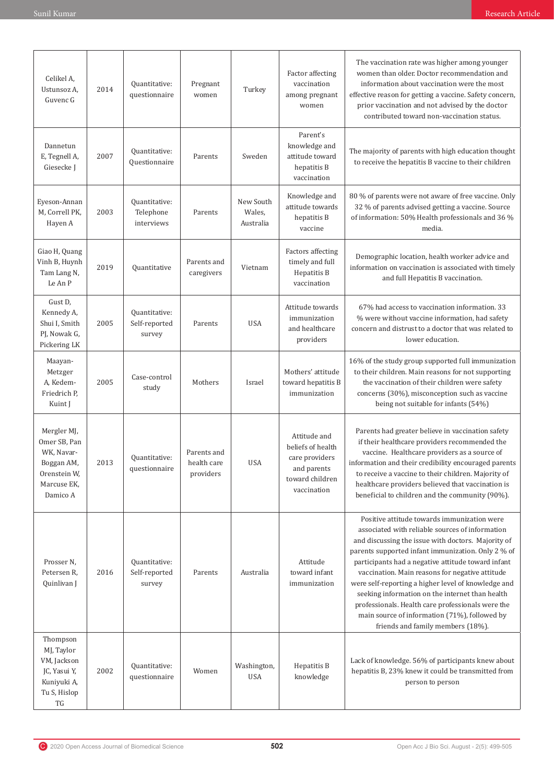| Celikel A,<br>Ustunsoz A,<br>Guvenc G                                                              | 2014 | Quantitative:<br>questionnaire           | Pregnant<br>women                       | Turkey                           | Factor affecting<br>vaccination<br>among pregnant<br>women                                           | The vaccination rate was higher among younger<br>women than older. Doctor recommendation and<br>information about vaccination were the most<br>effective reason for getting a vaccine. Safety concern,<br>prior vaccination and not advised by the doctor<br>contributed toward non-vaccination status.                                                                                                                                                                                                                                                                  |
|----------------------------------------------------------------------------------------------------|------|------------------------------------------|-----------------------------------------|----------------------------------|------------------------------------------------------------------------------------------------------|--------------------------------------------------------------------------------------------------------------------------------------------------------------------------------------------------------------------------------------------------------------------------------------------------------------------------------------------------------------------------------------------------------------------------------------------------------------------------------------------------------------------------------------------------------------------------|
| Dannetun<br>E, Tegnell A,<br>Giesecke J                                                            | 2007 | Quantitative:<br>Questionnaire           | Parents                                 | Sweden                           | Parent's<br>knowledge and<br>attitude toward<br>hepatitis B<br>vaccination                           | The majority of parents with high education thought<br>to receive the hepatitis B vaccine to their children                                                                                                                                                                                                                                                                                                                                                                                                                                                              |
| Eyeson-Annan<br>M, Correll PK,<br>Hayen A                                                          | 2003 | Quantitative:<br>Telephone<br>interviews | Parents                                 | New South<br>Wales,<br>Australia | Knowledge and<br>attitude towards<br>hepatitis B<br>vaccine                                          | 80 % of parents were not aware of free vaccine. Only<br>32 % of parents advised getting a vaccine. Source<br>of information: 50% Health professionals and 36 %<br>media.                                                                                                                                                                                                                                                                                                                                                                                                 |
| Giao H, Quang<br>Vinh B, Huynh<br>Tam Lang N,<br>Le An P                                           | 2019 | Quantitative                             | Parents and<br>caregivers               | Vietnam                          | Factors affecting<br>timely and full<br>Hepatitis B<br>vaccination                                   | Demographic location, health worker advice and<br>information on vaccination is associated with timely<br>and full Hepatitis B vaccination.                                                                                                                                                                                                                                                                                                                                                                                                                              |
| Gust D,<br>Kennedy A,<br>Shui I, Smith<br>PJ, Nowak G,<br>Pickering LK                             | 2005 | Quantitative:<br>Self-reported<br>survey | Parents                                 | <b>USA</b>                       | Attitude towards<br>immunization<br>and healthcare<br>providers                                      | 67% had access to vaccination information. 33<br>% were without vaccine information, had safety<br>concern and distrust to a doctor that was related to<br>lower education.                                                                                                                                                                                                                                                                                                                                                                                              |
| Maayan-<br>Metzger<br>A, Kedem-<br>Friedrich P.<br>Kuint J                                         | 2005 | Case-control<br>study                    | Mothers                                 | Israel                           | Mothers' attitude<br>toward hepatitis B<br>immunization                                              | 16% of the study group supported full immunization<br>to their children. Main reasons for not supporting<br>the vaccination of their children were safety<br>concerns (30%), misconception such as vaccine<br>being not suitable for infants (54%)                                                                                                                                                                                                                                                                                                                       |
| Mergler MJ,<br>Omer SB, Pan<br>WK, Navar-<br>Boggan AM,<br>Orenstein W,<br>Marcuse EK,<br>Damico A | 2013 | Quantitative:<br>questionnaire           | Parents and<br>health care<br>providers | <b>USA</b>                       | Attitude and<br>beliefs of health<br>care providers<br>and parents<br>toward children<br>vaccination | Parents had greater believe in vaccination safety<br>if their healthcare providers recommended the<br>vaccine. Healthcare providers as a source of<br>information and their credibility encouraged parents<br>to receive a vaccine to their children. Majority of<br>healthcare providers believed that vaccination is<br>beneficial to children and the community (90%).                                                                                                                                                                                                |
| Prosser N,<br>Petersen R,<br>Quinlivan J                                                           | 2016 | Quantitative:<br>Self-reported<br>survey | Parents                                 | Australia                        | Attitude<br>toward infant<br>immunization                                                            | Positive attitude towards immunization were<br>associated with reliable sources of information<br>and discussing the issue with doctors. Majority of<br>parents supported infant immunization. Only 2 % of<br>participants had a negative attitude toward infant<br>vaccination. Main reasons for negative attitude<br>were self-reporting a higher level of knowledge and<br>seeking information on the internet than health<br>professionals. Health care professionals were the<br>main source of information (71%), followed by<br>friends and family members (18%). |
| Thompson<br>MJ, Taylor<br>VM, Jackson<br>JC, Yasui Y,<br>Kuniyuki A,<br>Tu S, Hislop<br>TG         | 2002 | Quantitative:<br>questionnaire           | Women                                   | Washington,<br><b>USA</b>        | Hepatitis B<br>knowledge                                                                             | Lack of knowledge. 56% of participants knew about<br>hepatitis B, 23% knew it could be transmitted from<br>person to person                                                                                                                                                                                                                                                                                                                                                                                                                                              |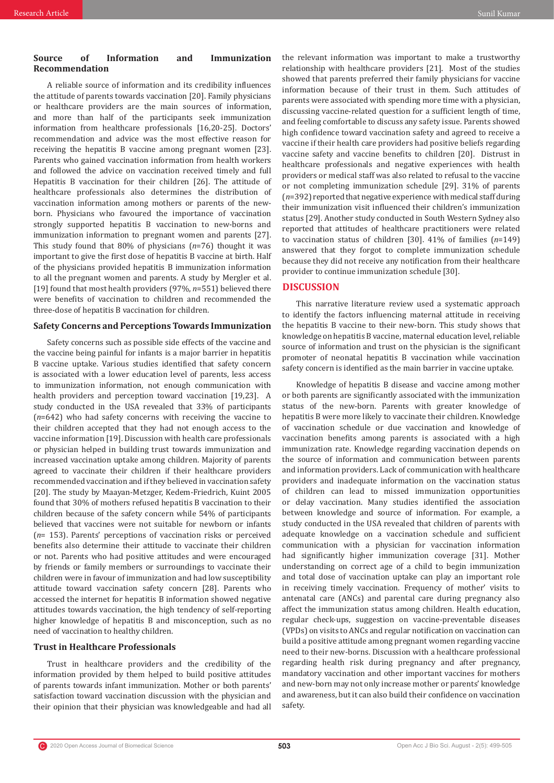# **Source of Information and Immunization Recommendation**

A reliable source of information and its credibility influences the attitude of parents towards vaccination [20]. Family physicians or healthcare providers are the main sources of information, and more than half of the participants seek immunization information from healthcare professionals [16,20-25]. Doctors' recommendation and advice was the most effective reason for receiving the hepatitis B vaccine among pregnant women [23]. Parents who gained vaccination information from health workers and followed the advice on vaccination received timely and full Hepatitis B vaccination for their children [26]. The attitude of healthcare professionals also determines the distribution of vaccination information among mothers or parents of the newborn. Physicians who favoured the importance of vaccination strongly supported hepatitis B vaccination to new-borns and immunization information to pregnant women and parents [27]. This study found that 80% of physicians (*n*=76) thought it was important to give the first dose of hepatitis B vaccine at birth. Half of the physicians provided hepatitis B immunization information to all the pregnant women and parents. A study by Mergler et al. [19] found that most health providers (97%, *n*=551) believed there were benefits of vaccination to children and recommended the three-dose of hepatitis B vaccination for children.

# **Safety Concerns and Perceptions Towards Immunization**

Safety concerns such as possible side effects of the vaccine and the vaccine being painful for infants is a major barrier in hepatitis B vaccine uptake. Various studies identified that safety concern is associated with a lower education level of parents, less access to immunization information, not enough communication with health providers and perception toward vaccination [19,23]. A study conducted in the USA revealed that 33% of participants (*n*=642) who had safety concerns with receiving the vaccine to their children accepted that they had not enough access to the vaccine information [19]. Discussion with health care professionals or physician helped in building trust towards immunization and increased vaccination uptake among children. Majority of parents agreed to vaccinate their children if their healthcare providers recommended vaccination and if they believed in vaccination safety [20]. The study by Maayan-Metzger, Kedem-Friedrich, Kuint 2005 found that 30% of mothers refused hepatitis B vaccination to their children because of the safety concern while 54% of participants believed that vaccines were not suitable for newborn or infants (*n*= 153). Parents' perceptions of vaccination risks or perceived benefits also determine their attitude to vaccinate their children or not. Parents who had positive attitudes and were encouraged by friends or family members or surroundings to vaccinate their children were in favour of immunization and had low susceptibility attitude toward vaccination safety concern [28]. Parents who accessed the internet for hepatitis B information showed negative attitudes towards vaccination, the high tendency of self-reporting higher knowledge of hepatitis B and misconception, such as no need of vaccination to healthy children.

# **Trust in Healthcare Professionals**

Trust in healthcare providers and the credibility of the information provided by them helped to build positive attitudes of parents towards infant immunization. Mother or both parents' satisfaction toward vaccination discussion with the physician and their opinion that their physician was knowledgeable and had all the relevant information was important to make a trustworthy relationship with healthcare providers [21]. Most of the studies showed that parents preferred their family physicians for vaccine information because of their trust in them. Such attitudes of parents were associated with spending more time with a physician, discussing vaccine-related question for a sufficient length of time, and feeling comfortable to discuss any safety issue. Parents showed high confidence toward vaccination safety and agreed to receive a vaccine if their health care providers had positive beliefs regarding vaccine safety and vaccine benefits to children [20]. Distrust in healthcare professionals and negative experiences with health providers or medical staff was also related to refusal to the vaccine or not completing immunization schedule [29]. 31% of parents (*n*=392) reported that negative experience with medical staff during their immunization visit influenced their children's immunization status [29]. Another study conducted in South Western Sydney also reported that attitudes of healthcare practitioners were related to vaccination status of children [30]. 41% of families (*n*=149) answered that they forgot to complete immunization schedule because they did not receive any notification from their healthcare provider to continue immunization schedule [30].

### **DISCUSSION**

This narrative literature review used a systematic approach to identify the factors influencing maternal attitude in receiving the hepatitis B vaccine to their new-born. This study shows that knowledge on hepatitis B vaccine, maternal education level, reliable source of information and trust on the physician is the significant promoter of neonatal hepatitis B vaccination while vaccination safety concern is identified as the main barrier in vaccine uptake.

Knowledge of hepatitis B disease and vaccine among mother or both parents are significantly associated with the immunization status of the new-born. Parents with greater knowledge of hepatitis B were more likely to vaccinate their children. Knowledge of vaccination schedule or due vaccination and knowledge of vaccination benefits among parents is associated with a high immunization rate. Knowledge regarding vaccination depends on the source of information and communication between parents and information providers. Lack of communication with healthcare providers and inadequate information on the vaccination status of children can lead to missed immunization opportunities or delay vaccination. Many studies identified the association between knowledge and source of information. For example, a study conducted in the USA revealed that children of parents with adequate knowledge on a vaccination schedule and sufficient communication with a physician for vaccination information had significantly higher immunization coverage [31]. Mother understanding on correct age of a child to begin immunization and total dose of vaccination uptake can play an important role in receiving timely vaccination. Frequency of mother' visits to antenatal care (ANCs) and parental care during pregnancy also affect the immunization status among children. Health education, regular check-ups, suggestion on vaccine-preventable diseases (VPDs) on visits to ANCs and regular notification on vaccination can build a positive attitude among pregnant women regarding vaccine need to their new-borns. Discussion with a healthcare professional regarding health risk during pregnancy and after pregnancy, mandatory vaccination and other important vaccines for mothers and new-born may not only increase mother or parents' knowledge and awareness, but it can also build their confidence on vaccination safety.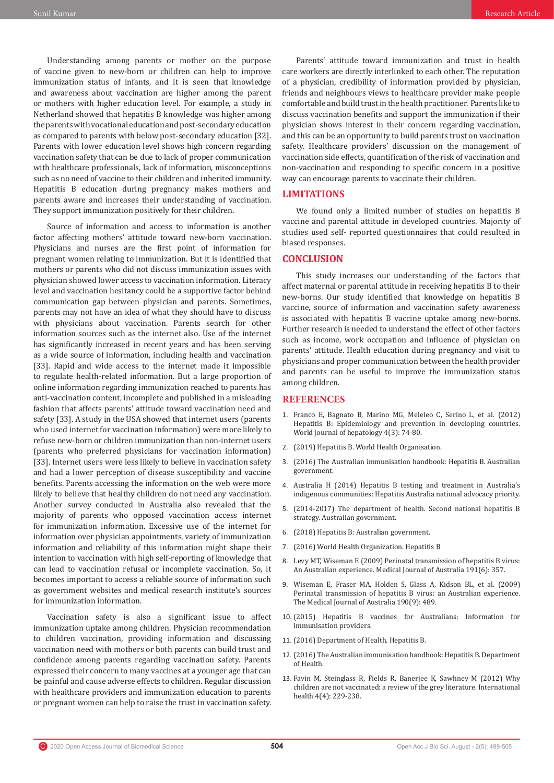Understanding among parents or mother on the purpose of vaccine given to new-born or children can help to improve immunization status of infants, and it is seen that knowledge and awareness about vaccination are higher among the parent or mothers with higher education level. For example, a study in Netherland showed that hepatitis B knowledge was higher among the parents with vocational education and post-secondary education as compared to parents with below post-secondary education [32]. Parents with lower education level shows high concern regarding vaccination safety that can be due to lack of proper communication with healthcare professionals, lack of information, misconceptions such as no need of vaccine to their children and inherited immunity. Hepatitis B education during pregnancy makes mothers and parents aware and increases their understanding of vaccination. They support immunization positively for their children.

Source of information and access to information is another factor affecting mothers' attitude toward new-born vaccination. Physicians and nurses are the first point of information for pregnant women relating to immunization. But it is identified that mothers or parents who did not discuss immunization issues with physician showed lower access to vaccination information. Literacy level and vaccination hesitancy could be a supportive factor behind communication gap between physician and parents. Sometimes, parents may not have an idea of what they should have to discuss with physicians about vaccination. Parents search for other information sources such as the internet also. Use of the internet has significantly increased in recent years and has been serving as a wide source of information, including health and vaccination [33]. Rapid and wide access to the internet made it impossible to regulate health-related information. But a large proportion of online information regarding immunization reached to parents has anti-vaccination content, incomplete and published in a misleading fashion that affects parents' attitude toward vaccination need and safety [33]. A study in the USA showed that internet users (parents who used internet for vaccination information) were more likely to refuse new-born or children immunization than non-internet users (parents who preferred physicians for vaccination information) [33]. Internet users were less likely to believe in vaccination safety and had a lower perception of disease susceptibility and vaccine benefits. Parents accessing the information on the web were more likely to believe that healthy children do not need any vaccination. Another survey conducted in Australia also revealed that the majority of parents who opposed vaccination access internet for immunization information. Excessive use of the internet for information over physician appointments, variety of immunization information and reliability of this information might shape their intention to vaccination with high self-reporting of knowledge that can lead to vaccination refusal or incomplete vaccination. So, it becomes important to access a reliable source of information such as government websites and medical research institute's sources for immunization information.

Vaccination safety is also a significant issue to affect immunization uptake among children. Physician recommendation to children vaccination, providing information and discussing vaccination need with mothers or both parents can build trust and confidence among parents regarding vaccination safety. Parents expressed their concern to many vaccines at a younger age that can be painful and cause adverse effects to children. Regular discussion with healthcare providers and immunization education to parents or pregnant women can help to raise the trust in vaccination safety.

Parents' attitude toward immunization and trust in health care workers are directly interlinked to each other. The reputation of a physician, credibility of information provided by physician, friends and neighbours views to healthcare provider make people comfortable and build trust in the health practitioner. Parents like to discuss vaccination benefits and support the immunization if their physician shows interest in their concern regarding vaccination, and this can be an opportunity to build parents trust on vaccination safety. Healthcare providers' discussion on the management of vaccination side effects, quantification of the risk of vaccination and non-vaccination and responding to specific concern in a positive way can encourage parents to vaccinate their children.

## **LIMITATIONS**

We found only a limited number of studies on hepatitis B vaccine and parental attitude in developed countries. Majority of studies used self- reported questionnaires that could resulted in biased responses.

# **CONCLUSION**

This study increases our understanding of the factors that affect maternal or parental attitude in receiving hepatitis B to their new-borns. Our study identified that knowledge on hepatitis B vaccine, source of information and vaccination safety awareness is associated with hepatitis B vaccine uptake among new-borns. Further research is needed to understand the effect of other factors such as income, work occupation and influence of physician on parents' attitude. Health education during pregnancy and visit to physicians and proper communication between the health provider and parents can be useful to improve the immunization status among children.

#### **REFERENCES**

- 1. [Franco E, Bagnato B, Marino MG, Meleleo C, Serino L, et al. \(2012\)](https://pubmed.ncbi.nlm.nih.gov/22489259/) [Hepatitis B: Epidemiology and prevention in developing countries.](https://pubmed.ncbi.nlm.nih.gov/22489259/) [World journal of hepatology 4\(3\): 74-80.](https://pubmed.ncbi.nlm.nih.gov/22489259/)
- 2. [\(2019\) Hepatitis B. World Health Organisation.](https://www.who.int/en/news-room/fact-sheets/detail/hepatitis-b)
- 3. (2016) The Australian immunisation handbook: Hepatitis B. Australian government.
- 4. Australia H (2014) Hepatitis B testing and treatment in Australia's indigenous communities: Hepatitis Australia national advocacy priority.
- 5. (2014-2017) The department of health. Second national hepatitis B strategy. Australian government.
- 6. (2018) Hepatitis B: Australian government.
- 7. (2016) World Health Organization. Hepatitis B
- 8. [Levy MT, Wiseman E \(2009\) Perinatal transmission of hepatitis B virus:](https://www.mja.com.au/journal/2009/190/9/perinatal-transmission-hepatitis-b-virus-australian-experience) [An Australian experience. Medical Journal of Australia 191\(6\): 357.](https://www.mja.com.au/journal/2009/190/9/perinatal-transmission-hepatitis-b-virus-australian-experience)
- 9. [Wiseman E, Fraser MA, Holden S, Glass A, Kidson BL, et al. \(2009\)](https://pubmed.ncbi.nlm.nih.gov/19413519/) [Perinatal transmission of hepatitis B virus: an Australian experience.](https://pubmed.ncbi.nlm.nih.gov/19413519/) [The Medical Journal of Australia 190\(9\): 489.](https://pubmed.ncbi.nlm.nih.gov/19413519/)
- 10. (2015) Hepatitis B vaccines for Australians: Information for immunisation providers.
- 11. (2016) Department of Health. Hepatitis B.
- 12. (2016) The Australian immunisation handbook: Hepatitis B. Department of Health.
- 13. [Favin M, Steinglass R, Fields R, Banerjee K, Sawhney M \(2012\) Why](https://www.sciencedirect.com/science/article/pii/S1876341312000496) [children are not vaccinated: a review of the grey literature. International](https://www.sciencedirect.com/science/article/pii/S1876341312000496) [health 4\(4\): 229-238.](https://www.sciencedirect.com/science/article/pii/S1876341312000496)